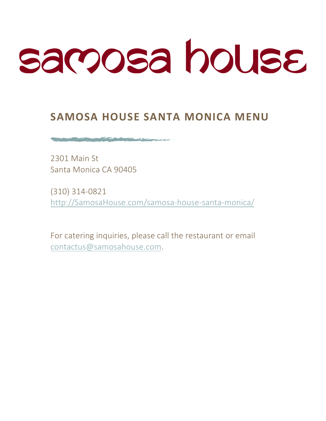# samosa house

# **SAMOSA HOUSE SANTA MONICA MENU**

2301 Main St Santa Monica CA 90405

The company of the company of the company of the company of the company of the company of the company of the company of the company of the company of the company of the company of the company of the company of the company

(310) 314-0821 http://SamosaHouse.com/samosa-house-santa-monica/

For catering inquiries, please call the restaurant or email contactus@samosahouse.com.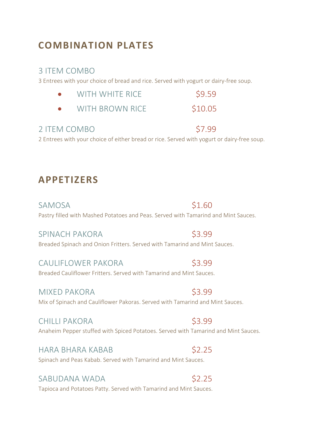# **COMBINATION PLATES**

### 3 ITEM COMBO

3 Entrees with your choice of bread and rice. Served with yogurt or dairy-free soup.

| WITH WHITE RICE | \$9.59 |
|-----------------|--------|
|-----------------|--------|

|  | <b>WITH BROWN RICE</b> | \$10.05 |
|--|------------------------|---------|
|--|------------------------|---------|

## 2 ITEM COMBO \$7.99

2 Entrees with your choice of either bread or rice. Served with yogurt or dairy-free soup.

## **APPETIZERS**

SAMOSA \$1.60 Pastry filled with Mashed Potatoes and Peas. Served with Tamarind and Mint Sauces.

SPINACH PAKORA \$3.99 Breaded Spinach and Onion Fritters. Served with Tamarind and Mint Sauces.

CAULIFLOWER PAKORA \$3.99 Breaded Cauliflower Fritters. Served with Tamarind and Mint Sauces.

MIXED PAKORA \$3.99 Mix of Spinach and Cauliflower Pakoras. Served with Tamarind and Mint Sauces.

CHILLI PAKORA \$3.99 Anaheim Pepper stuffed with Spiced Potatoes. Served with Tamarind and Mint Sauces.

HARA BHARA KABAB \$2.25 Spinach and Peas Kabab. Served with Tamarind and Mint Sauces.

## SABUDANA WADA **\$2.25**

Tapioca and Potatoes Patty. Served with Tamarind and Mint Sauces.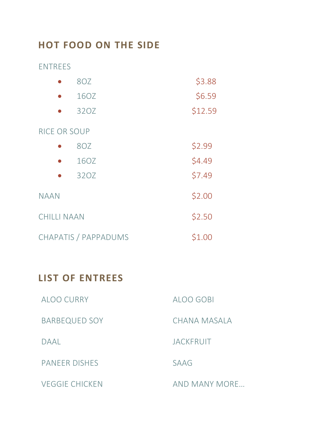# **HOT FOOD ON THE SIDE**

ENTREES 

|                      | 8OZ  |        | \$3.88  |  |  |
|----------------------|------|--------|---------|--|--|
|                      | 16OZ |        | \$6.59  |  |  |
|                      | 32OZ |        | \$12.59 |  |  |
| <b>RICE OR SOUP</b>  |      |        |         |  |  |
|                      | 8OZ  |        | \$2.99  |  |  |
|                      | 160Z |        | \$4.49  |  |  |
|                      | 32OZ |        | \$7.49  |  |  |
| <b>NAAN</b>          |      |        | \$2.00  |  |  |
| <b>CHILLI NAAN</b>   |      | \$2.50 |         |  |  |
| CHAPATIS / PAPPADUMS |      | \$1.00 |         |  |  |

# LIST OF ENTREES

| ALOO CURRY            | ALOO GOBI        |
|-----------------------|------------------|
| <b>BARBEQUED SOY</b>  | CHANA MASALA     |
| DAAL                  | <b>JACKFRUIT</b> |
| <b>PANEER DISHES</b>  | <b>SAAG</b>      |
| <b>VEGGIE CHICKEN</b> | AND MANY MORE    |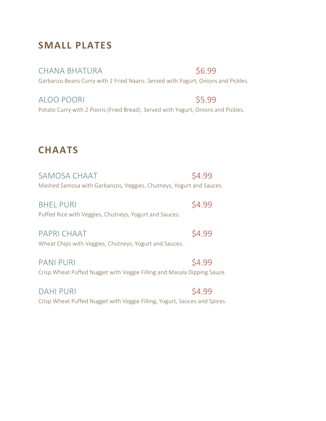# **SMALL PLATES**

CHANA BHATURA \$6.99

Garbanzo Beans Curry with 2 Fried Naans. Served with Yogurt, Onions and Pickles.

ALOO POORI S5.99 Potato Curry with 2 Pooris (Fried Bread). Served with Yogurt, Onions and Pickles.

# **CHAATS**

SAMOSA CHAAT SA.99 Mashed Samosa with Garbanzos, Veggies, Chutneys, Yogurt and Sauces.

BHEL PURI S4.99 Puffed Rice with Veggies, Chutneys, Yogurt and Sauces.

PAPRI CHAAT S4.99 Wheat Chips with Veggies, Chutneys, Yogurt and Sauces.

PANI PURI S4.99 Crisp Wheat Puffed Nugget with Veggie Filling and Masala Dipping Sauce.

DAHI PURI S4.99 Crisp Wheat Puffed Nugget with Veggie Filling, Yogurt, Sauces and Spices.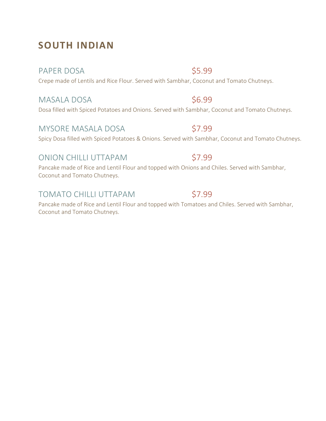# **SOUTH INDIAN**

### PAPER DOSA \$5.99

Crepe made of Lentils and Rice Flour. Served with Sambhar, Coconut and Tomato Chutneys.

## MASALA DOSA \$6.99

Dosa filled with Spiced Potatoes and Onions. Served with Sambhar, Coconut and Tomato Chutneys.

## MYSORE MASALA DOSA \$7.99

Spicy Dosa filled with Spiced Potatoes & Onions. Served with Sambhar, Coconut and Tomato Chutneys.

## ONION CHILLI UTTAPAM \$7.99

Pancake made of Rice and Lentil Flour and topped with Onions and Chiles. Served with Sambhar, Coconut and Tomato Chutneys.

## TOMATO CHILLI UTTAPAM \$7.99

Pancake made of Rice and Lentil Flour and topped with Tomatoes and Chiles. Served with Sambhar, Coconut and Tomato Chutneys.